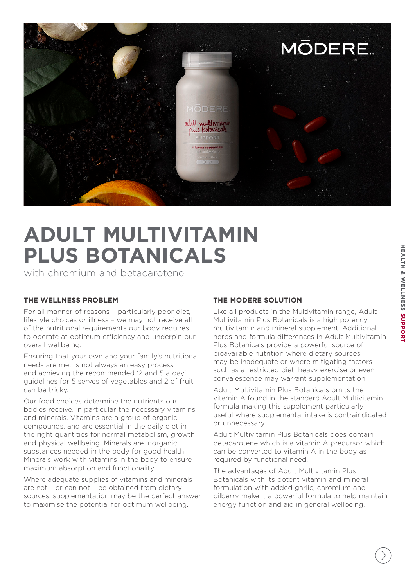

## **ADULT MULTIVITAMIN PLUS BOTANICALS**

with chromium and betacarotene

#### **THE WELLNESS PROBLEM**

For all manner of reasons – particularly poor diet, lifestyle choices or illness – we may not receive all of the nutritional requirements our body requires to operate at optimum efficiency and underpin our overall wellbeing.

Ensuring that your own and your family's nutritional needs are met is not always an easy process and achieving the recommended '2 and 5 a day' guidelines for 5 serves of vegetables and 2 of fruit can be tricky.

Our food choices determine the nutrients our bodies receive, in particular the necessary vitamins and minerals. Vitamins are a group of organic compounds, and are essential in the daily diet in the right quantities for normal metabolism, growth and physical wellbeing. Minerals are inorganic substances needed in the body for good health. Minerals work with vitamins in the body to ensure maximum absorption and functionality.

Where adequate supplies of vitamins and minerals are not – or can not – be obtained from dietary sources, supplementation may be the perfect answer to maximise the potential for optimum wellbeing.

## **THE MODERE SOLUTION**

Like all products in the Multivitamin range, Adult Multivitamin Plus Botanicals is a high potency multivitamin and mineral supplement. Additional herbs and formula differences in Adult Multivitamin Plus Botanicals provide a powerful source of bioavailable nutrition where dietary sources may be inadequate or where mitigating factors such as a restricted diet, heavy exercise or even convalescence may warrant supplementation.

Adult Multivitamin Plus Botanicals omits the vitamin A found in the standard Adult Multivitamin formula making this supplement particularly useful where supplemental intake is contraindicated or unnecessary.

Adult Multivitamin Plus Botanicals does contain betacarotene which is a vitamin A precursor which can be converted to vitamin A in the body as required by functional need.

The advantages of Adult Multivitamin Plus Botanicals with its potent vitamin and mineral formulation with added garlic, chromium and bilberry make it a powerful formula to help maintain energy function and aid in general wellbeing.